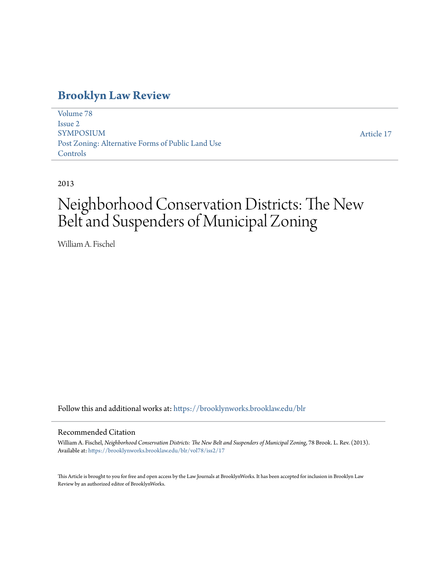# **[Brooklyn Law Review](https://brooklynworks.brooklaw.edu/blr?utm_source=brooklynworks.brooklaw.edu%2Fblr%2Fvol78%2Fiss2%2F17&utm_medium=PDF&utm_campaign=PDFCoverPages)**

[Volume 78](https://brooklynworks.brooklaw.edu/blr/vol78?utm_source=brooklynworks.brooklaw.edu%2Fblr%2Fvol78%2Fiss2%2F17&utm_medium=PDF&utm_campaign=PDFCoverPages) [Issue 2](https://brooklynworks.brooklaw.edu/blr/vol78/iss2?utm_source=brooklynworks.brooklaw.edu%2Fblr%2Fvol78%2Fiss2%2F17&utm_medium=PDF&utm_campaign=PDFCoverPages) SYMPOSIUM Post Zoning: Alternative Forms of Public Land Use Controls

[Article 17](https://brooklynworks.brooklaw.edu/blr/vol78/iss2/17?utm_source=brooklynworks.brooklaw.edu%2Fblr%2Fvol78%2Fiss2%2F17&utm_medium=PDF&utm_campaign=PDFCoverPages)

2013

# Neighborhood Conservation Districts: The New Belt and Suspenders of Municipal Zoning

William A. Fischel

Follow this and additional works at: [https://brooklynworks.brooklaw.edu/blr](https://brooklynworks.brooklaw.edu/blr?utm_source=brooklynworks.brooklaw.edu%2Fblr%2Fvol78%2Fiss2%2F17&utm_medium=PDF&utm_campaign=PDFCoverPages)

# Recommended Citation

William A. Fischel, *Neighborhood Conservation Districts: The New Belt and Suspenders of Municipal Zoning*, 78 Brook. L. Rev. (2013). Available at: [https://brooklynworks.brooklaw.edu/blr/vol78/iss2/17](https://brooklynworks.brooklaw.edu/blr/vol78/iss2/17?utm_source=brooklynworks.brooklaw.edu%2Fblr%2Fvol78%2Fiss2%2F17&utm_medium=PDF&utm_campaign=PDFCoverPages)

This Article is brought to you for free and open access by the Law Journals at BrooklynWorks. It has been accepted for inclusion in Brooklyn Law Review by an authorized editor of BrooklynWorks.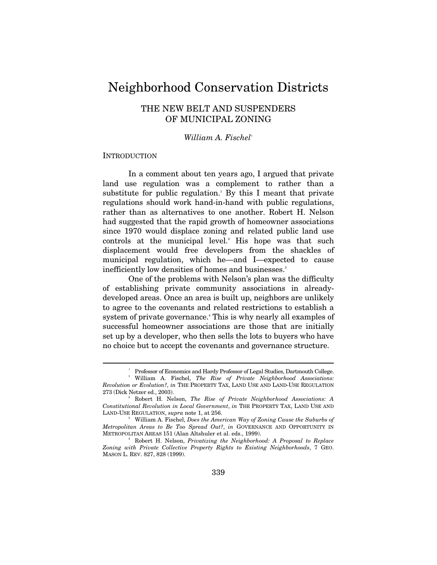# Neighborhood Conservation Districts

# THE NEW BELT AND SUSPENDERS OF MUNICIPAL ZONING

## *William A. Fischel*†

#### **INTRODUCTION**

 $\overline{a}$ 

In a comment about ten years ago, I argued that private land use regulation was a complement to rather than a substitute for public regulation.<sup>1</sup> By this I meant that private regulations should work hand-in-hand with public regulations, rather than as alternatives to one another. Robert H. Nelson had suggested that the rapid growth of homeowner associations since 1970 would displace zoning and related public land use controls at the municipal level.<sup>2</sup> His hope was that such displacement would free developers from the shackles of municipal regulation, which he—and I—expected to cause inefficiently low densities of homes and businesses.<sup>3</sup>

One of the problems with Nelson's plan was the difficulty of establishing private community associations in alreadydeveloped areas. Once an area is built up, neighbors are unlikely to agree to the covenants and related restrictions to establish a system of private governance.<sup>4</sup> This is why nearly all examples of successful homeowner associations are those that are initially set up by a developer, who then sells the lots to buyers who have no choice but to accept the covenants and governance structure.

 <sup>†</sup> Professor of Economics and Hardy Professor of Legal Studies, Dartmouth College. 1

William A. Fischel, *The Rise of Private Neighborhood Associations: Revolution or Evolution?*, *in* THE PROPERTY TAX, LAND USE AND LAND-USE REGULATION 273 (Dick Netzer ed., 2003). 2

Robert H. Nelson, *The Rise of Private Neighborhood Associations: A Constitutional Revolution in Local Government*, *in* THE PROPERTY TAX, LAND USE AND LAND-USE REGULATION, *supra* note 1, at 256. 3

William A. Fischel, *Does the American Way of Zoning Cause the Suburbs of Metropolitan Areas to Be Too Spread Out?*, *in* GOVERNANCE AND OPPORTUNITY IN METROPOLITAN AREAS 151 (Alan Altshuler et al. eds., 1999). 4

Robert H. Nelson, *Privatizing the Neighborhood: A Proposal to Replace Zoning with Private Collective Property Rights to Existing Neighborhoods*, 7 GEO. MASON L. REV. 827, 828 (1999).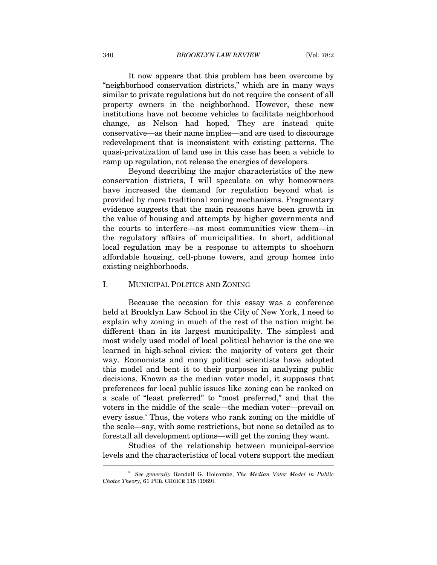It now appears that this problem has been overcome by "neighborhood conservation districts," which are in many ways similar to private regulations but do not require the consent of all property owners in the neighborhood. However, these new institutions have not become vehicles to facilitate neighborhood change, as Nelson had hoped. They are instead quite conservative—as their name implies—and are used to discourage redevelopment that is inconsistent with existing patterns. The quasi-privatization of land use in this case has been a vehicle to ramp up regulation, not release the energies of developers.

Beyond describing the major characteristics of the new conservation districts, I will speculate on why homeowners have increased the demand for regulation beyond what is provided by more traditional zoning mechanisms. Fragmentary evidence suggests that the main reasons have been growth in the value of housing and attempts by higher governments and the courts to interfere—as most communities view them—in the regulatory affairs of municipalities. In short, additional local regulation may be a response to attempts to shoehorn affordable housing, cell-phone towers, and group homes into existing neighborhoods.

#### I. MUNICIPAL POLITICS AND ZONING

Because the occasion for this essay was a conference held at Brooklyn Law School in the City of New York, I need to explain why zoning in much of the rest of the nation might be different than in its largest municipality. The simplest and most widely used model of local political behavior is the one we learned in high-school civics: the majority of voters get their way. Economists and many political scientists have adopted this model and bent it to their purposes in analyzing public decisions. Known as the median voter model, it supposes that preferences for local public issues like zoning can be ranked on a scale of "least preferred" to "most preferred," and that the voters in the middle of the scale—the median voter—prevail on every issue.<sup>5</sup> Thus, the voters who rank zoning on the middle of the scale—say, with some restrictions, but none so detailed as to forestall all development options—will get the zoning they want.

Studies of the relationship between municipal-service levels and the characteristics of local voters support the median  $\overline{a}$ 

<sup>5</sup>  *See generally* Randall G. Holcombe, *The Median Voter Model in Public Choice Theory*, 61 PUB. CHOICE 115 (1989).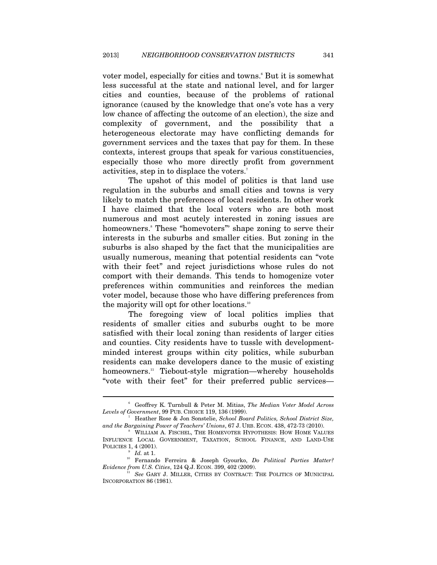voter model, especially for cities and towns.<sup>6</sup> But it is somewhat less successful at the state and national level, and for larger cities and counties, because of the problems of rational ignorance (caused by the knowledge that one's vote has a very low chance of affecting the outcome of an election), the size and complexity of government, and the possibility that a heterogeneous electorate may have conflicting demands for government services and the taxes that pay for them. In these contexts, interest groups that speak for various constituencies, especially those who more directly profit from government activities, step in to displace the voters.<sup>7</sup>

The upshot of this model of politics is that land use regulation in the suburbs and small cities and towns is very likely to match the preferences of local residents. In other work I have claimed that the local voters who are both most numerous and most acutely interested in zoning issues are homeowners. These "homevoters" shape zoning to serve their interests in the suburbs and smaller cities. But zoning in the suburbs is also shaped by the fact that the municipalities are usually numerous, meaning that potential residents can "vote with their feet" and reject jurisdictions whose rules do not comport with their demands. This tends to homogenize voter preferences within communities and reinforces the median voter model, because those who have differing preferences from the majority will opt for other locations.<sup>10</sup>

The foregoing view of local politics implies that residents of smaller cities and suburbs ought to be more satisfied with their local zoning than residents of larger cities and counties. City residents have to tussle with developmentminded interest groups within city politics, while suburban residents can make developers dance to the music of existing homeowners.<sup>11</sup> Tiebout-style migration—whereby households "vote with their feet" for their preferred public services—

<sup>6</sup> Geoffrey K. Turnbull & Peter M. Mitias, *The Median Voter Model Across Levels of Government*, 99 PUB. CHOICE 119, 136 (1999). 7

Heather Rose & Jon Sonstelie, *School Board Politics, School District Size, and the Bargaining Power of Teachers' Unions*, 67 J. URB. ECON. 438, 472-73 (2010).

WILLIAM A. FISCHEL, THE HOMEVOTER HYPOTHESIS: HOW HOME VALUES INFLUENCE LOCAL GOVERNMENT, TAXATION, SCHOOL FINANCE, AND LAND-USE POLICIES 1, 4 (2001).

<sup>9</sup>

<sup>&</sup>lt;sup>9</sup> *Id.* at 1.<br><sup>10</sup> Fernando Ferreira & Joseph Gyourko, *Do Political Parties Matter?*<br>*Evidence from U.S. Cities*, 124 Q.J. ECON. 399, 402 (2009).

*See* GARY J. MILLER, CITIES BY CONTRACT: THE POLITICS OF MUNICIPAL INCORPORATION 86 (1981).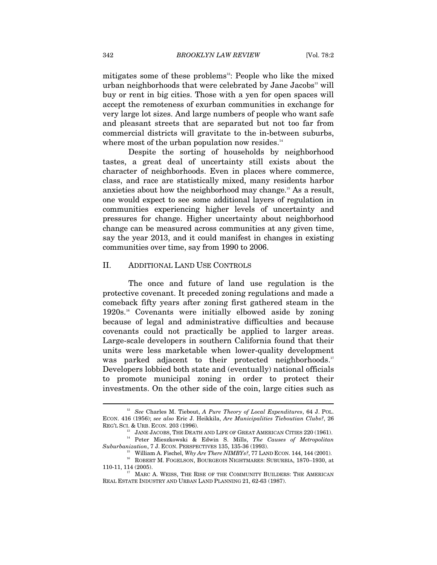mitigates some of these problems $2$ : People who like the mixed urban neighborhoods that were celebrated by Jane Jacobs<sup>13</sup> will buy or rent in big cities. Those with a yen for open spaces will accept the remoteness of exurban communities in exchange for very large lot sizes. And large numbers of people who want safe and pleasant streets that are separated but not too far from commercial districts will gravitate to the in-between suburbs, where most of the urban population now resides.<sup>14</sup>

Despite the sorting of households by neighborhood tastes, a great deal of uncertainty still exists about the character of neighborhoods. Even in places where commerce, class, and race are statistically mixed, many residents harbor anxieties about how the neighborhood may change.15 As a result, one would expect to see some additional layers of regulation in communities experiencing higher levels of uncertainty and pressures for change. Higher uncertainty about neighborhood change can be measured across communities at any given time, say the year 2013, and it could manifest in changes in existing communities over time, say from 1990 to 2006.

#### II. ADDITIONAL LAND USE CONTROLS

The once and future of land use regulation is the protective covenant. It preceded zoning regulations and made a comeback fifty years after zoning first gathered steam in the 1920s.16 Covenants were initially elbowed aside by zoning because of legal and administrative difficulties and because covenants could not practically be applied to larger areas. Large-scale developers in southern California found that their units were less marketable when lower-quality development was parked adjacent to their protected neighborhoods.<sup>17</sup> Developers lobbied both state and (eventually) national officials to promote municipal zoning in order to protect their investments. On the other side of the coin, large cities such as

<sup>12</sup> *See* Charles M. Tiebout, *A Pure Theory of Local Expenditures*, 64 J. POL. ECON. 416 (1956); *see also* Eric J. Heikkila, *Are Municipalities Tieboutian Clubs?*, 26

REG'L SCI. & URB. ECON. 203 (1996).<br><sup>13</sup> JANE JACOBS, THE DEATH AND LIFE OF GREAT AMERICAN CITIES 220 (1961).<br><sup>14</sup> Peter Mieszkowski & Edwin S. Mills, *The Causes of Metropolitan*<br>*Suburbanization*, 7 J. ECON. PERSPECTIVES

<sup>&</sup>lt;sup>15</sup> William A. Fischel, *Why Are There NIMBYs?*, 77 LAND ECON. 144, 144 (2001). <br><sup>16</sup> ROBERT M. FOGELSON, BOURGEOIS NIGHTMARES: SUBURBIA, 1870–1930, at

<sup>110-11, 114 (2005).</sup> MARC A. WEISS, THE RISE OF THE COMMUNITY BUILDERS: THE AMERICAN REAL ESTATE INDUSTRY AND URBAN LAND PLANNING 21, 62-63 (1987).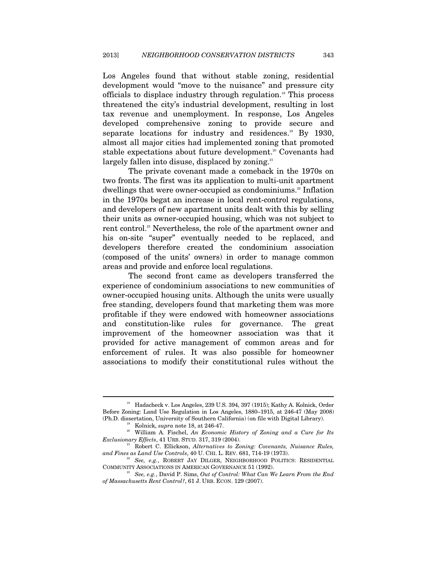Los Angeles found that without stable zoning, residential development would "move to the nuisance" and pressure city officials to displace industry through regulation.18 This process threatened the city's industrial development, resulting in lost tax revenue and unemployment. In response, Los Angeles developed comprehensive zoning to provide secure and separate locations for industry and residences.<sup>19</sup> By 1930, almost all major cities had implemented zoning that promoted stable expectations about future development.<sup>20</sup> Covenants had largely fallen into disuse, displaced by zoning.<sup>21</sup>

The private covenant made a comeback in the 1970s on two fronts. The first was its application to multi-unit apartment dwellings that were owner-occupied as condominiums.<sup>22</sup> Inflation in the 1970s begat an increase in local rent-control regulations, and developers of new apartment units dealt with this by selling their units as owner-occupied housing, which was not subject to rent control.<sup>23</sup> Nevertheless, the role of the apartment owner and his on-site "super" eventually needed to be replaced, and developers therefore created the condominium association (composed of the units' owners) in order to manage common areas and provide and enforce local regulations.

The second front came as developers transferred the experience of condominium associations to new communities of owner-occupied housing units. Although the units were usually free standing, developers found that marketing them was more profitable if they were endowed with homeowner associations and constitution-like rules for governance. The great improvement of the homeowner association was that it provided for active management of common areas and for enforcement of rules. It was also possible for homeowner associations to modify their constitutional rules without the

<sup>18</sup> Hadacheck v. Los Angeles, 239 U.S. 394, 397 (1915); Kathy A. Kolnick, Order Before Zoning: Land Use Regulation in Los Angeles, 1880–1915, at 246-47 (May 2008)

<sup>% (</sup>Ph.D. dissertation, University of Southern California) (on file with Digital Library).<br><sup>19</sup> Kolnick, *supra* note 18, at 246-47.<br><sup>20</sup> William A. Fischel, *An Economic History of Zoning and a Cure for Its Exclusionary Ef* 

<sup>&</sup>lt;sup>21</sup> Robert C. Ellickson, *Alternatives to Zoning: Covenants, Nuisance Rules,* 

*and Fines as Land Use Controls*, 40 U. CHI. L. REV. 681, 714-19 (1973).<br><sup>22</sup> *See, e.g.*, ROBERT JAY DILGER, NEIGHBORHOOD POLITICS: RESIDENTIAL COMMUNITY ASSOCIATIONS IN AMERICAN GOVERNANCE 51 (1992).

<sup>&</sup>lt;sup>23</sup> See, e.g., David P. Sims, *Out of Control: What Can We Learn From the End of Massachusetts Rent Control?*, 61 J. URB. ECON. 129 (2007).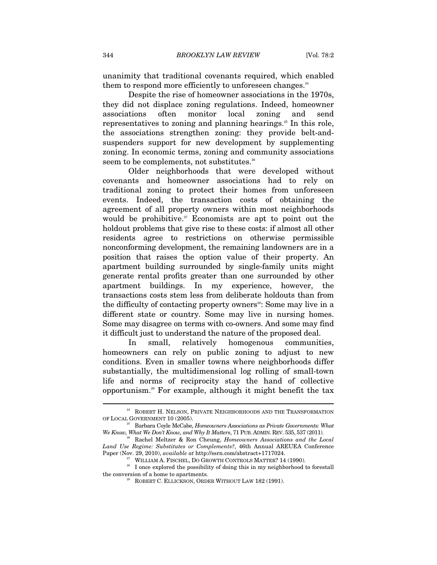unanimity that traditional covenants required, which enabled them to respond more efficiently to unforeseen changes.<sup>24</sup>

Despite the rise of homeowner associations in the 1970s, they did not displace zoning regulations. Indeed, homeowner associations often monitor local zoning and send representatives to zoning and planning hearings.<sup>25</sup> In this role, the associations strengthen zoning: they provide belt-andsuspenders support for new development by supplementing zoning. In economic terms, zoning and community associations seem to be complements, not substitutes.<sup>26</sup>

Older neighborhoods that were developed without covenants and homeowner associations had to rely on traditional zoning to protect their homes from unforeseen events. Indeed, the transaction costs of obtaining the agreement of all property owners within most neighborhoods would be prohibitive. $27$  Economists are apt to point out the holdout problems that give rise to these costs: if almost all other residents agree to restrictions on otherwise permissible nonconforming development, the remaining landowners are in a position that raises the option value of their property. An apartment building surrounded by single-family units might generate rental profits greater than one surrounded by other apartment buildings. In my experience, however, the transactions costs stem less from deliberate holdouts than from the difficulty of contacting property owners<sup>28</sup>: Some may live in a different state or country. Some may live in nursing homes. Some may disagree on terms with co-owners. And some may find it difficult just to understand the nature of the proposed deal.

In small, relatively homogenous communities, homeowners can rely on public zoning to adjust to new conditions. Even in smaller towns where neighborhoods differ substantially, the multidimensional log rolling of small-town life and norms of reciprocity stay the hand of collective opportunism.29 For example, although it might benefit the tax

<sup>&</sup>lt;sup>24</sup> ROBERT H. NELSON, PRIVATE NEIGHBORHOODS AND THE TRANSFORMATION OF LOCAL GOVERNMENT 10 (2005). 25 Barbara Coyle McCabe, *Homeowners Associations as Private Governments: What* 

*We Know, What We Don't Know, and Why It Matters*, 71 PUB. ADMIN. REV. 535, 537 (2011). 26 Rachel Meltzer & Ron Cheung, *Homeowners Associations and the Local* 

*Land Use Regime: Substitutes or Complements?*, 46th Annual AREUEA Conference

Paper (Nov. 29, 2010), *available at* http://ssrn.com/abstract+1717024.<br><sup>27</sup> WILLIAM A. FISCHEL, DO GROWTH CONTROLS MATTER? 14 (1990).<br><sup>28</sup> I once explored the possibility of doing this in my neighborhood to forestall the conversion of a home to apartments.<br><sup>29</sup> ROBERT C. ELLICKSON, ORDER WITHOUT LAW 182 (1991).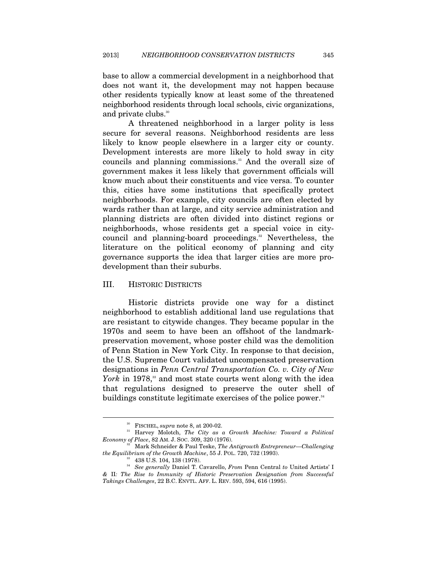base to allow a commercial development in a neighborhood that does not want it, the development may not happen because other residents typically know at least some of the threatened neighborhood residents through local schools, civic organizations, and private clubs.<sup>30</sup>

A threatened neighborhood in a larger polity is less secure for several reasons. Neighborhood residents are less likely to know people elsewhere in a larger city or county. Development interests are more likely to hold sway in city councils and planning commissions.<sup>31</sup> And the overall size of government makes it less likely that government officials will know much about their constituents and vice versa. To counter this, cities have some institutions that specifically protect neighborhoods. For example, city councils are often elected by wards rather than at large, and city service administration and planning districts are often divided into distinct regions or neighborhoods, whose residents get a special voice in citycouncil and planning-board proceedings.<sup>32</sup> Nevertheless, the literature on the political economy of planning and city governance supports the idea that larger cities are more prodevelopment than their suburbs.

## III. HISTORIC DISTRICTS

Historic districts provide one way for a distinct neighborhood to establish additional land use regulations that are resistant to citywide changes. They became popular in the 1970s and seem to have been an offshoot of the landmarkpreservation movement, whose poster child was the demolition of Penn Station in New York City. In response to that decision, the U.S. Supreme Court validated uncompensated preservation designations in *Penn Central Transportation Co. v. City of New York* in 1978,<sup>33</sup> and most state courts went along with the idea that regulations designed to preserve the outer shell of buildings constitute legitimate exercises of the police power.<sup>34</sup>

<sup>&</sup>lt;sup>30</sup> FISCHEL, *supra* note 8, at 200-02.<br><sup>31</sup> Harvey Molotch, *The City as a Growth Machine: Toward a Political <i>Economy of Place*, 82 AM. J. SOC. 309, 320 (1976).

<sup>&</sup>lt;sup>32</sup> Mark Schneider & Paul Teske, *The Antigrowth Entrepreneur—Challenging the Equilibrium of the Growth Machine*, 55 J. POL. 720, 732 (1993).<br><sup>33</sup> 438 U.S. 104, 138 (1978).

<sup>34</sup> *See generally* Daniel T. Cavarello, *From* Penn Central *to* United Artists' I *&* II*: The Rise to Immunity of Historic Preservation Designation from Successful Takings Challenges*, 22 B.C. ENVTL. AFF. L. REV. 593, 594, 616 (1995).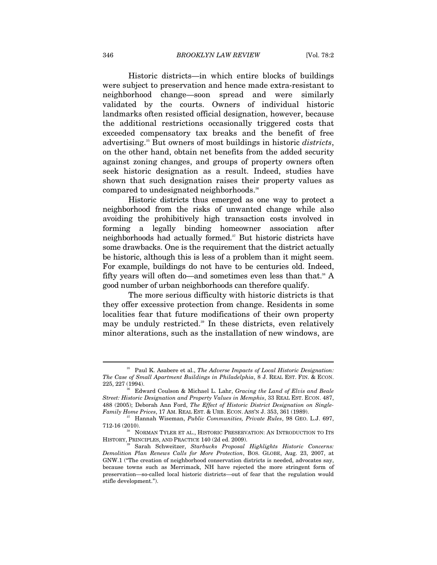Historic districts—in which entire blocks of buildings were subject to preservation and hence made extra-resistant to neighborhood change—soon spread and were similarly validated by the courts. Owners of individual historic landmarks often resisted official designation, however, because the additional restrictions occasionally triggered costs that exceeded compensatory tax breaks and the benefit of free advertising.35 But owners of most buildings in historic *districts*, on the other hand, obtain net benefits from the added security against zoning changes, and groups of property owners often seek historic designation as a result. Indeed, studies have shown that such designation raises their property values as compared to undesignated neighborhoods.<sup>36</sup>

Historic districts thus emerged as one way to protect a neighborhood from the risks of unwanted change while also avoiding the prohibitively high transaction costs involved in forming a legally binding homeowner association after neighborhoods had actually formed.<sup>37</sup> But historic districts have some drawbacks. One is the requirement that the district actually be historic, although this is less of a problem than it might seem. For example, buildings do not have to be centuries old. Indeed, fifty years will often do—and sometimes even less than that.<sup>38</sup> A good number of urban neighborhoods can therefore qualify.

The more serious difficulty with historic districts is that they offer excessive protection from change. Residents in some localities fear that future modifications of their own property may be unduly restricted.<sup>39</sup> In these districts, even relatively minor alterations, such as the installation of new windows, are

<sup>35</sup> Paul K. Asabere et al., *The Adverse Impacts of Local Historic Designation: The Case of Small Apartment Buildings in Philadelphia*, 8 J. REAL EST. FIN. & ECON.

<sup>225, 227 (1994). 36</sup> Edward Coulson & Michael L. Lahr, *Gracing the Land of Elvis and Beale Street: Historic Designation and Property Values in Memphis*, 33 REAL EST. ECON. 487, 488 (2005); Deborah Ann Ford, *The Effect of Historic District Designation on Single-*

*Hannah Wiseman, Public Communities, Private Rules*, 98 GEO. L.J. 697,

<sup>712-16 (2010).&</sup>lt;br><sup>38</sup> NORMAN TYLER ET AL., HISTORIC PRESERVATION: AN INTRODUCTION TO ITS<br>HISTORY, PRINCIPLES, AND PRACTICE 140 (2d ed. 2009).

<sup>&</sup>lt;sup>9</sup> Sarah Schweitzer, *Starbucks Proposal Highlights Historic Concerns: Demolition Plan Renews Calls for More Protection*, BOS. GLOBE, Aug. 23, 2007, at GNW.1 ("The creation of neighborhood conservation districts is needed, advocates say, because towns such as Merrimack, NH have rejected the more stringent form of preservation—so-called local historic districts—out of fear that the regulation would stifle development.").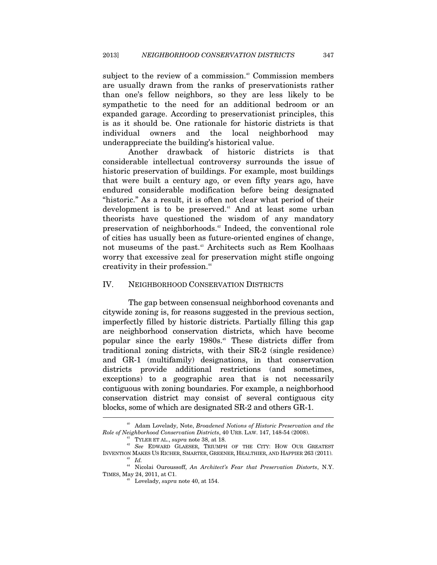subject to the review of a commission.<sup>40</sup> Commission members are usually drawn from the ranks of preservationists rather than one's fellow neighbors, so they are less likely to be sympathetic to the need for an additional bedroom or an expanded garage. According to preservationist principles, this is as it should be. One rationale for historic districts is that individual owners and the local neighborhood may underappreciate the building's historical value.

Another drawback of historic districts is that considerable intellectual controversy surrounds the issue of historic preservation of buildings. For example, most buildings that were built a century ago, or even fifty years ago, have endured considerable modification before being designated "historic." As a result, it is often not clear what period of their development is to be preserved.<sup>41</sup> And at least some urban theorists have questioned the wisdom of any mandatory preservation of neighborhoods.42 Indeed, the conventional role of cities has usually been as future-oriented engines of change, not museums of the past.<sup>43</sup> Architects such as Rem Koolhaas worry that excessive zeal for preservation might stifle ongoing creativity in their profession.<sup>44</sup>

## IV. NEIGHBORHOOD CONSERVATION DISTRICTS

The gap between consensual neighborhood covenants and citywide zoning is, for reasons suggested in the previous section, imperfectly filled by historic districts. Partially filling this gap are neighborhood conservation districts, which have become popular since the early 1980s.<sup>45</sup> These districts differ from traditional zoning districts, with their SR-2 (single residence) and GR-1 (multifamily) designations, in that conservation districts provide additional restrictions (and sometimes, exceptions) to a geographic area that is not necessarily contiguous with zoning boundaries. For example, a neighborhood conservation district may consist of several contiguous city blocks, some of which are designated SR-2 and others GR-1. j

<sup>40</sup> Adam Lovelady, Note, *Broadened Notions of Historic Preservation and the Role of Neighborhood Conservation Districts*, 40 URB. LAW. 147, 148-54 (2008). 41 TYLER ET AL., *supra* note 38, at 18. 42 *See* EDWARD GLAESER, TRIUMPH OF THE CITY: HOW OUR GREATEST

INVENTION MAKES US RICHER, SMARTER, GREENER, HEALTHIER, AND HAPPIER 263 (2011). 43 *Id.* 44 Nicolai Ouroussoff, *An Architect's Fear that Preservation Distorts*, N.Y.

TIMES, May 24, 2011, at C1. 45 Lovelady, *supra* note 40, at 154.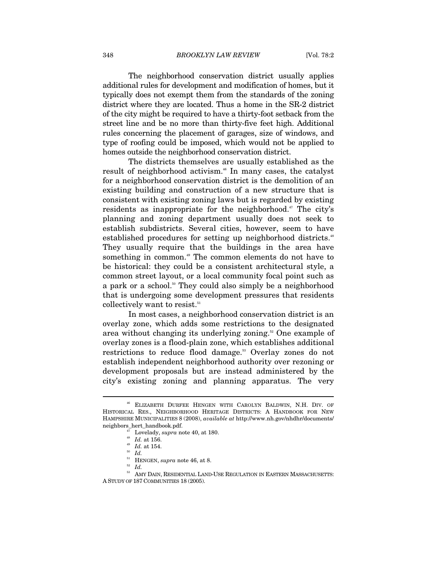The neighborhood conservation district usually applies additional rules for development and modification of homes, but it typically does not exempt them from the standards of the zoning district where they are located. Thus a home in the SR-2 district of the city might be required to have a thirty-foot setback from the street line and be no more than thirty-five feet high. Additional rules concerning the placement of garages, size of windows, and type of roofing could be imposed, which would not be applied to homes outside the neighborhood conservation district.

The districts themselves are usually established as the result of neighborhood activism.<sup>46</sup> In many cases, the catalyst for a neighborhood conservation district is the demolition of an existing building and construction of a new structure that is consistent with existing zoning laws but is regarded by existing residents as inappropriate for the neighborhood.<sup>47</sup> The city's planning and zoning department usually does not seek to establish subdistricts. Several cities, however, seem to have established procedures for setting up neighborhood districts.<sup>48</sup> They usually require that the buildings in the area have something in common.<sup>49</sup> The common elements do not have to be historical: they could be a consistent architectural style, a common street layout, or a local community focal point such as a park or a school.<sup>50</sup> They could also simply be a neighborhood that is undergoing some development pressures that residents collectively want to resist.<sup>51</sup>

In most cases, a neighborhood conservation district is an overlay zone, which adds some restrictions to the designated area without changing its underlying zoning.<sup>52</sup> One example of overlay zones is a flood-plain zone, which establishes additional restrictions to reduce flood damage.<sup>53</sup> Overlay zones do not establish independent neighborhood authority over rezoning or development proposals but are instead administered by the city's existing zoning and planning apparatus. The very

<sup>46</sup> ELIZABETH DURFEE HENGEN WITH CAROLYN BALDWIN, N.H. DIV. OF HISTORICAL RES., NEIGHBORHOOD HERITAGE DISTRICTS: A HANDBOOK FOR NEW HAMPSHIRE MUNICIPALITIES 8 (2008), *available at* http://www.nh.gov/nhdhr/documents/ neighbors\_hert\_handbook.pdf.<br><sup>47</sup> Lovelady, *supra* note 40, at 180.<br><sup>48</sup> *Id.* at 156.<br><sup>49</sup> *Id.* at 154.<br><sup>50</sup> *Id.* HENGEN, *supra* note 46, at 8.

 $101$  Hernálden, and  $100$  in  $100$  in  $\,$   $\,$  Females  $100$  and  $100$  in Eastern Massachusetts: A STUDY OF 187 COMMUNITIES 18 (2005).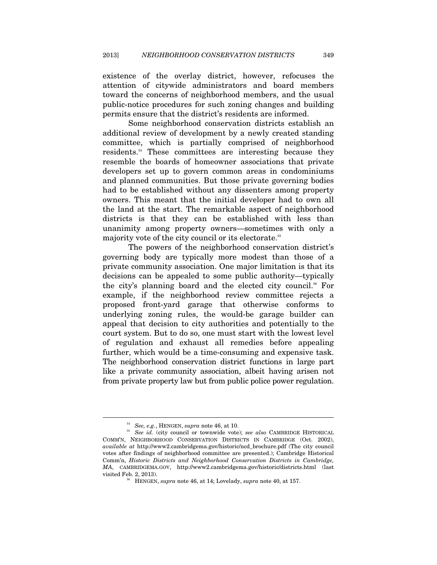existence of the overlay district, however, refocuses the attention of citywide administrators and board members toward the concerns of neighborhood members, and the usual public-notice procedures for such zoning changes and building permits ensure that the district's residents are informed.

Some neighborhood conservation districts establish an additional review of development by a newly created standing committee, which is partially comprised of neighborhood residents.54 These committees are interesting because they resemble the boards of homeowner associations that private developers set up to govern common areas in condominiums and planned communities. But those private governing bodies had to be established without any dissenters among property owners. This meant that the initial developer had to own all the land at the start. The remarkable aspect of neighborhood districts is that they can be established with less than unanimity among property owners—sometimes with only a majority vote of the city council or its electorate.55

The powers of the neighborhood conservation district's governing body are typically more modest than those of a private community association. One major limitation is that its decisions can be appealed to some public authority—typically the city's planning board and the elected city council.<sup>56</sup> For example, if the neighborhood review committee rejects a proposed front-yard garage that otherwise conforms to underlying zoning rules, the would-be garage builder can appeal that decision to city authorities and potentially to the court system. But to do so, one must start with the lowest level of regulation and exhaust all remedies before appealing further, which would be a time-consuming and expensive task. The neighborhood conservation district functions in large part like a private community association, albeit having arisen not from private property law but from public police power regulation.

<sup>54</sup> *See, e.g.*, HENGEN, *supra* note 46, at 10. 55 *See id.* (city council or townwide vote); *see also* CAMBRIDGE HISTORICAL COMM'N, NEIGHBORHOOD CONSERVATION DISTRICTS IN CAMBRIDGE (Oct. 2002), *available at* http://www2.cambridgema.gov/historic/ncd\_brochure.pdf (The city council votes after findings of neighborhood committee are presented.); Cambridge Historical Comm'n, *Historic Districts and Neighborhood Conservation Districts in Cambridge, MA*, CAMBRIDGEMA.GOV, http://www2.cambridgema.gov/historic/districts.html (last visited Feb. 2, 2013). 56 HENGEN, *supra* note 46, at 14; Lovelady, *supra* note 40, at 157.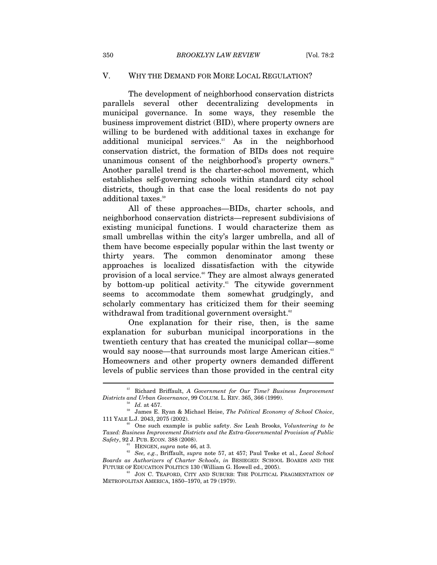# V. WHY THE DEMAND FOR MORE LOCAL REGULATION?

The development of neighborhood conservation districts parallels several other decentralizing developments in municipal governance. In some ways, they resemble the business improvement district (BID), where property owners are willing to be burdened with additional taxes in exchange for additional municipal services. $57$  As in the neighborhood conservation district, the formation of BIDs does not require unanimous consent of the neighborhood's property owners.<sup>58</sup> Another parallel trend is the charter-school movement, which establishes self-governing schools within standard city school districts, though in that case the local residents do not pay additional taxes.<sup>59</sup>

All of these approaches—BIDs, charter schools, and neighborhood conservation districts—represent subdivisions of existing municipal functions. I would characterize them as small umbrellas within the city's larger umbrella, and all of them have become especially popular within the last twenty or thirty years. The common denominator among these approaches is localized dissatisfaction with the citywide provision of a local service.<sup>60</sup> They are almost always generated by bottom-up political activity.<sup>61</sup> The citywide government seems to accommodate them somewhat grudgingly, and scholarly commentary has criticized them for their seeming withdrawal from traditional government oversight.<sup>62</sup>

One explanation for their rise, then, is the same explanation for suburban municipal incorporations in the twentieth century that has created the municipal collar—some would say noose—that surrounds most large American cities.<sup>63</sup> Homeowners and other property owners demanded different levels of public services than those provided in the central city

<sup>57</sup> Richard Briffault, *A Government for Our Time? Business Improvement Districts and Urban Governance*, 99 COLUM. L. REV. 365, 366 (1999). 58 *Id.* at 457. 59 James E. Ryan & Michael Heise, *The Political Economy of School Choice*,

<sup>111</sup> YALE L.J. 2043, 2075 (2002).

<sup>60</sup> One such example is public safety. *See* Leah Brooks, *Volunteering to be Taxed: Business Improvement Districts and the Extra-Governmental Provision of Public* 

<sup>&</sup>lt;sup>61</sup> HENGEN, *supra* note 46, at 3.<br><sup>62</sup> *See, e.g.*, Briffault, *supra* note 57, at 457; Paul Teske et al., *Local School Boards as Authorizers of Charter Schools*, *in* BESIEGED: SCHOOL BOARDS AND THE

<sup>&</sup>lt;sup>63</sup> JON C. TEAFORD, CITY AND SUBURB: THE POLITICAL FRAGMENTATION OF METROPOLITAN AMERICA, 1850–1970, at 79 (1979).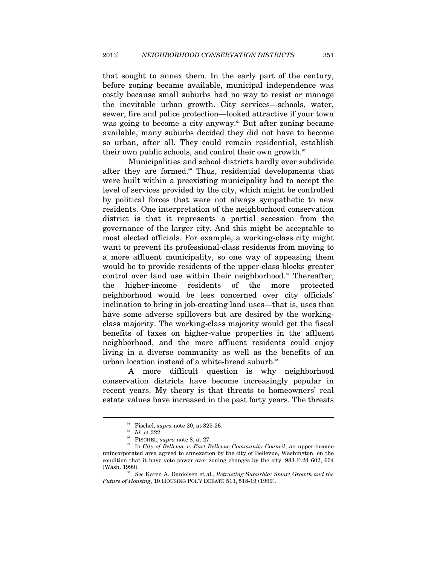that sought to annex them. In the early part of the century, before zoning became available, municipal independence was costly because small suburbs had no way to resist or manage the inevitable urban growth. City services—schools, water, sewer, fire and police protection—looked attractive if your town was going to become a city anyway.<sup>64</sup> But after zoning became available, many suburbs decided they did not have to become so urban, after all. They could remain residential, establish their own public schools, and control their own growth.<sup>65</sup>

Municipalities and school districts hardly ever subdivide after they are formed.<sup>66</sup> Thus, residential developments that were built within a preexisting municipality had to accept the level of services provided by the city, which might be controlled by political forces that were not always sympathetic to new residents. One interpretation of the neighborhood conservation district is that it represents a partial secession from the governance of the larger city. And this might be acceptable to most elected officials. For example, a working-class city might want to prevent its professional-class residents from moving to a more affluent municipality, so one way of appeasing them would be to provide residents of the upper-class blocks greater control over land use within their neighborhood. $\mathbf{F}$  Thereafter, the higher-income residents of the more protected neighborhood would be less concerned over city officials' inclination to bring in job-creating land uses—that is, uses that have some adverse spillovers but are desired by the workingclass majority. The working-class majority would get the fiscal benefits of taxes on higher-value properties in the affluent neighborhood, and the more affluent residents could enjoy living in a diverse community as well as the benefits of an urban location instead of a white-bread suburb.<sup>68</sup>

A more difficult question is why neighborhood conservation districts have become increasingly popular in recent years. My theory is that threats to homeowners' real estate values have increased in the past forty years. The threats

<sup>&</sup>lt;sup>64</sup> Fischel, *supra* note 20, at 325-26.<br><sup>65</sup> *Id.* at 322.<br><sup>66</sup> FISCHEL, *supra* note 8, at 27.<br><sup>67</sup> In *City of Bellevue v. East Bellevue Community Council*, an upper-income unincorporated area agreed to annexation by the city of Bellevue, Washington, on the condition that it have veto power over zoning changes by the city. 983 P.2d 602, 604 (Wash. 1999). 68 *See* Karen A. Danielsen et al., *Retracting Suburbia: Smart Growth and the* 

*Future of Housing*, 10 HOUSING POL'Y DEBATE 513, 518-19 (1999).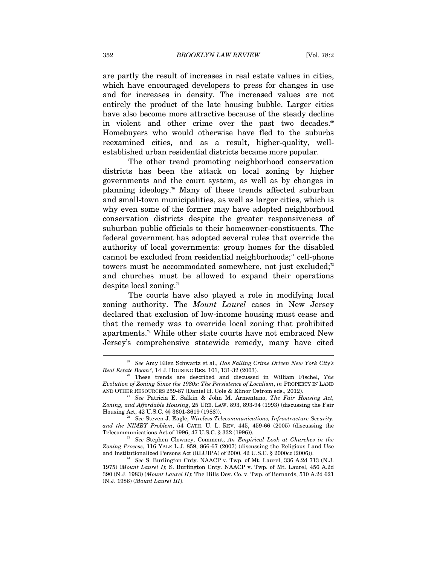are partly the result of increases in real estate values in cities, which have encouraged developers to press for changes in use and for increases in density. The increased values are not entirely the product of the late housing bubble. Larger cities have also become more attractive because of the steady decline in violent and other crime over the past two decades.<sup>69</sup> Homebuyers who would otherwise have fled to the suburbs reexamined cities, and as a result, higher-quality, wellestablished urban residential districts became more popular.

The other trend promoting neighborhood conservation districts has been the attack on local zoning by higher governments and the court system, as well as by changes in planning ideology.70 Many of these trends affected suburban and small-town municipalities, as well as larger cities, which is why even some of the former may have adopted neighborhood conservation districts despite the greater responsiveness of suburban public officials to their homeowner-constituents. The federal government has adopted several rules that override the authority of local governments: group homes for the disabled cannot be excluded from residential neighborhoods;<sup>11</sup> cell-phone towers must be accommodated somewhere, not just excluded;<sup>72</sup> and churches must be allowed to expand their operations despite local zoning.73

The courts have also played a role in modifying local zoning authority. The *Mount Laurel* cases in New Jersey declared that exclusion of low-income housing must cease and that the remedy was to override local zoning that prohibited apartments.74 While other state courts have not embraced New Jersey's comprehensive statewide remedy, many have cited

<sup>69</sup> *See* Amy Ellen Schwartz et al., *Has Falling Crime Driven New York City's Real Estate Boom?*, 14 J. HOUSING RES. 101, 131-32 (2003).<br><sup>70</sup> These trends are described and discussed in William Fischel, *The* 

*Evolution of Zoning Since the 1980s: The Persistence of Localism*, *in* PROPERTY IN LAND

<sup>&</sup>lt;sup>71</sup> See Patricia E. Salkin & John M. Armentano, *The Fair Housing Act*, *Zoning, and Affordable Housing*, 25 URB. LAW. 893, 893-94 (1993) (discussing the Fair

<sup>&</sup>lt;sup>72</sup> See Steven J. Eagle, *Wireless Telecommunications, Infrastructure Security, and the NIMBY Problem*, 54 CATH. U. L. REV. 445, 459-66 (2005) (discussing the Telecommunications Act of 1996, 47 U.S.C. § 332 (1996)). 73 *See* Stephen Clowney, Comment, *An Empirical Look at Churches in the* 

*Zoning Process*, 116 YALE L.J. 859, 866-67 (2007) (discussing the Religious Land Use and Institutionalized Persons Act (RLUIPA) of 2000, 42 U.S.C. § 2000cc (2006)). 74 *See* S. Burlington Cnty. NAACP v. Twp. of Mt. Laurel, 336 A.2d 713 (N.J.

<sup>1975) (</sup>*Mount Laurel I*); S. Burlington Cnty. NAACP v. Twp. of Mt. Laurel, 456 A.2d 390 (N.J. 1983) (*Mount Laurel II*); The Hills Dev. Co. v. Twp. of Bernards, 510 A.2d 621 (N.J. 1986) (*Mount Laurel III*).